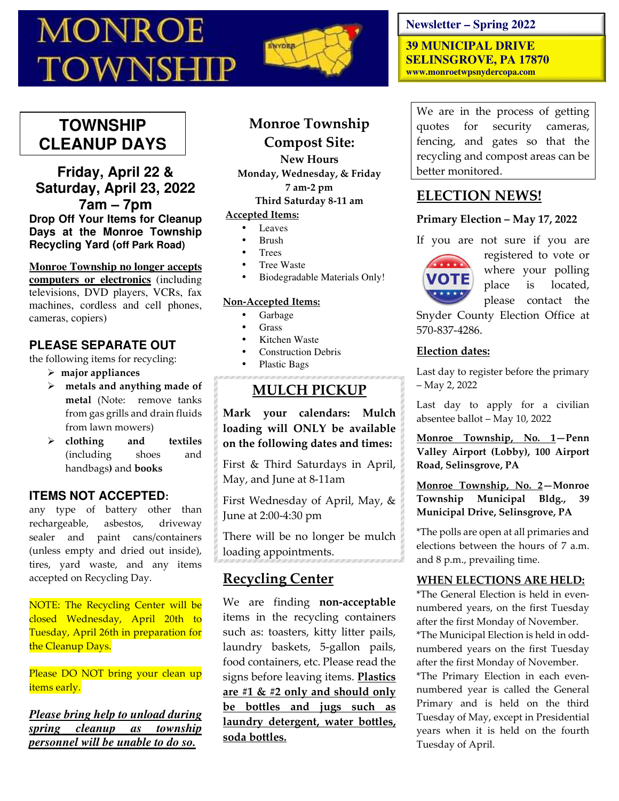# **MONROE TOWNSHIP**



# **TOWNSHIP CLEANUP DAYS**

**Friday, April 22 & Saturday, April 23, 2022 7am – 7pm Drop Off Your Items for Cleanup Days at the Monroe Township Recycling Yard (off Park Road)** 

**Monroe Township no longer accepts computers or electronics** (including

televisions, DVD players, VCRs, fax machines, cordless and cell phones, cameras, copiers)

# **PLEASE SEPARATE OUT**

the following items for recycling:

- **major appliances**
- **metals and anything made of metal** (Note: remove tanks from gas grills and drain fluids from lawn mowers)
- **clothing and textiles**  (including shoes and handbags**)** and **books**

# **ITEMS NOT ACCEPTED:**

any type of battery other than rechargeable, asbestos, driveway sealer and paint cans/containers (unless empty and dried out inside), tires, yard waste, and any items accepted on Recycling Day.

NOTE: The Recycling Center will be closed Wednesday, April 20th to Tuesday, April 26th in preparation for the Cleanup Days.

Please DO NOT bring your clean up items early.

*Please bring help to unload during spring cleanup as township personnel will be unable to do so.* 

# **Monroe Township Compost Site:**

**New Hours Monday, Wednesday, & Friday 7 am-2 pm Third Saturday 8-11 am** 

# **Accepted Items:**

- Leaves
- Brush
- **Trees**
- Tree Waste
- Biodegradable Materials Only!

#### **Non-Accepted Items:**

- Garbage
- Grass
- Kitchen Waste
- Construction Debris
- Plastic Bags

# **MULCH PICKUP**

**Mark your calendars: Mulch loading will ONLY be available on the following dates and times:** 

First & Third Saturdays in April, May, and June at 8-11am

First Wednesday of April, May, & June at 2:00-4:30 pm

There will be no longer be mulch loading appointments.

# **Recycling Center**

We are finding **non-acceptable** items in the recycling containers such as: toasters, kitty litter pails, laundry baskets, 5-gallon pails, food containers, etc. Please read the signs before leaving items. **Plastics are #1 & #2 only and should only be bottles and jugs such as laundry detergent, water bottles, soda bottles.** 

## **Newsletter – Spring 2022**

**39 MUNICIPAL DRIVE SELINSGROVE, PA 17870 www.monroetwpsnydercopa.com** 

We are in the process of getting quotes for security cameras, fencing, and gates so that the recycling and compost areas can be better monitored.

# **ELECTION NEWS!**

## **Primary Election – May 17, 2022**

If you are not sure if you are



registered to vote or where your polling place is located, please contact the

Snyder County Election Office at 570-837-4286.

## **Election dates:**

Last day to register before the primary – May 2, 2022

Last day to apply for a civilian absentee ballot – May 10, 2022

**Monroe Township, No. 1—Penn Valley Airport (Lobby), 100 Airport Road, Selinsgrove, PA** 

**Monroe Township, No. 2—Monroe Township Municipal Bldg., 39 Municipal Drive, Selinsgrove, PA** 

\*The polls are open at all primaries and elections between the hours of 7 a.m. and 8 p.m., prevailing time.

## **WHEN ELECTIONS ARE HELD:**

\*The General Election is held in evennumbered years, on the first Tuesday after the first Monday of November. \*The Municipal Election is held in oddnumbered years on the first Tuesday after the first Monday of November. \*The Primary Election in each even-

numbered year is called the General Primary and is held on the third Tuesday of May, except in Presidential years when it is held on the fourth Tuesday of April.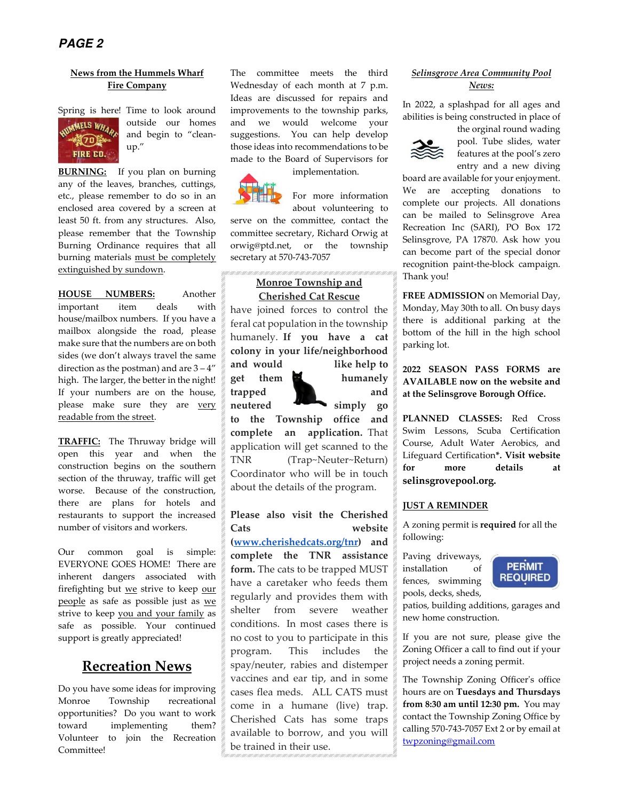#### **News from the Hummels Wharf Fire Company**



Spring is here! Time to look around outside our homes and begin to "cleanup."

**BURNING:** If you plan on burning any of the leaves, branches, cuttings, etc., please remember to do so in an enclosed area covered by a screen at least 50 ft. from any structures. Also, please remember that the Township Burning Ordinance requires that all burning materials must be completely extinguished by sundown.

**HOUSE NUMBERS:** Another important item deals with house/mailbox numbers. If you have a mailbox alongside the road, please make sure that the numbers are on both sides (we don't always travel the same direction as the postman) and are  $3 - 4$ " high. The larger, the better in the night! If your numbers are on the house, please make sure they are very readable from the street.

**TRAFFIC:** The Thruway bridge will open this year and when the construction begins on the southern section of the thruway, traffic will get worse. Because of the construction, there are plans for hotels and restaurants to support the increased number of visitors and workers.

Our common goal is simple: EVERYONE GOES HOME! There are inherent dangers associated with firefighting but we strive to keep our people as safe as possible just as we strive to keep you and your family as safe as possible. Your continued support is greatly appreciated!

# **Recreation News**

Do you have some ideas for improving Monroe Township recreational opportunities? Do you want to work toward implementing them? Volunteer to join the Recreation Committee!

The committee meets the third Wednesday of each month at 7 p.m. Ideas are discussed for repairs and improvements to the township parks, and we would welcome your suggestions. You can help develop those ideas into recommendations to be made to the Board of Supervisors for

implementation.



For more information

about volunteering to serve on the committee, contact the committee secretary, Richard Orwig at orwig@ptd.net, or the township secretary at 570-743-7057

#### **Monroe Township and Cherished Cat Rescue**

have joined forces to control the feral cat population in the township humanely. **If you have a cat colony in your life/neighborhood and would like help to** 

**get them humanely** 

**trapped and**  neutered **simply** go

**to the Township office and complete an application.** That application will get scanned to the TNR (Trap~Neuter~Return) Coordinator who will be in touch about the details of the program.

**Please also visit the Cherished Cats website (www.cherishedcats.org/tnr) and complete the TNR assistance form.** The cats to be trapped MUST have a caretaker who feeds them regularly and provides them with shelter from severe weather conditions. In most cases there is no cost to you to participate in this program. This includes the spay/neuter, rabies and distemper vaccines and ear tip, and in some cases flea meds. ALL CATS must come in a humane (live) trap. Cherished Cats has some traps available to borrow, and you will be trained in their use.

#### *Selinsgrove Area Community Pool News:*

In 2022, a splashpad for all ages and abilities is being constructed in place of



the orginal round wading pool. Tube slides, water features at the pool's zero entry and a new diving

board are available for your enjoyment. We are accepting donations to complete our projects. All donations can be mailed to Selinsgrove Area Recreation Inc (SARI), PO Box 172 Selinsgrove, PA 17870. Ask how you can become part of the special donor recognition paint-the-block campaign. Thank you!

**FREE ADMISSION** on Memorial Day, Monday, May 30th to all. On busy days there is additional parking at the bottom of the hill in the high school parking lot.

**2022 SEASON PASS FORMS are AVAILABLE now on the website and at the Selinsgrove Borough Office.** 

**PLANNED CLASSES:** Red Cross Swim Lessons, Scuba Certification Course, Adult Water Aerobics, and Lifeguard Certification**\*. Visit website for more details at selinsgrovepool.org.**

#### **JUST A REMINDER**

A zoning permit is **required** for all the following:

Paving driveways, installation of fences, swimming pools, decks, sheds,



patios, building additions, garages and new home construction.

If you are not sure, please give the Zoning Officer a call to find out if your project needs a zoning permit.

The Township Zoning Officer's office hours are on **Tuesdays and Thursdays from 8:30 am until 12:30 pm.** You may contact the Township Zoning Office by calling 570-743-7057 Ext 2 or by email at twpzoning@gmail.com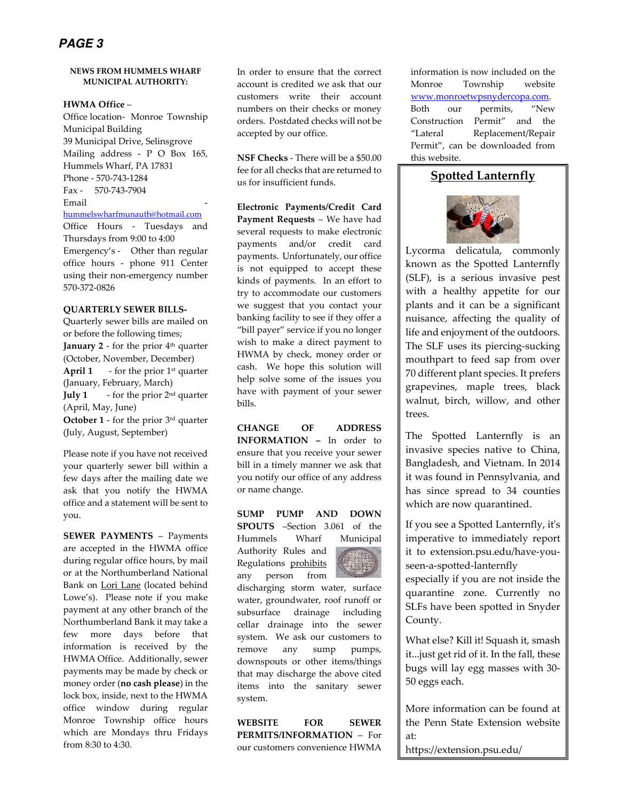# **PAGE 3**

#### **NEWS FROM HUMMELS WHARF MUNICIPAL AUTHORITY:**

**HWMA Office** –

Office location- Monroe Township Municipal Building 39 Municipal Drive, Selinsgrove Mailing address - P O Box 165, Hummels Wharf, PA 17831 Phone - 570-743-1284 Fax - 570-743-7904 Email hummelswharfmunauth@hotmail.com

Office Hours - Tuesdays and Thursdays from 9:00 to 4:00 Emergency's - Other than regular office hours - phone 911 Center using their non-emergency number 570-372-0826

#### **QUARTERLY SEWER BILLS-**

Quarterly sewer bills are mailed on or before the following times; **January 2** - for the prior 4<sup>th</sup> quarter (October, November, December) **April 1** - for the prior  $1<sup>st</sup>$  quarter (January, February, March) **July 1** - for the prior 2nd quarter (April, May, June) **October 1** - for the prior 3rd quarter (July, August, September)

Please note if you have not received your quarterly sewer bill within a few days after the mailing date we ask that you notify the HWMA office and a statement will be sent to you.

**SEWER PAYMENTS** – Payments are accepted in the HWMA office during regular office hours, by mail or at the Northumberland National Bank on Lori Lane (located behind Lowe's). Please note if you make payment at any other branch of the Northumberland Bank it may take a few more days before that information is received by the HWMA Office. Additionally, sewer payments may be made by check or money order (**no cash please**) in the lock box, inside, next to the HWMA office window during regular Monroe Township office hours which are Mondays thru Fridays from 8:30 to 4:30.

In order to ensure that the correct account is credited we ask that our customers write their account numbers on their checks or money orders. Postdated checks will not be accepted by our office.

**NSF Checks** - There will be a \$50.00 fee for all checks that are returned to us for insufficient funds.

**Electronic Payments/Credit Card Payment Requests** – We have had several requests to make electronic payments and/or credit card payments. Unfortunately, our office is not equipped to accept these kinds of payments. In an effort to try to accommodate our customers we suggest that you contact your banking facility to see if they offer a "bill payer" service if you no longer wish to make a direct payment to HWMA by check, money order or cash. We hope this solution will help solve some of the issues you have with payment of your sewer bills.

**CHANGE OF ADDRESS INFORMATION –** In order to ensure that you receive your sewer bill in a timely manner we ask that you notify our office of any address or name change.

#### **SUMP PUMP AND DOWN**

**SPOUTS** –Section 3.061 of the Hummels Wharf Municipal Authority Rules and Regulations prohibits any person from



discharging storm water, surface water, groundwater, roof runoff or subsurface drainage including cellar drainage into the sewer system. We ask our customers to remove any sump pumps, downspouts or other items/things that may discharge the above cited items into the sanitary sewer system.

**WEBSITE FOR SEWER PERMITS/INFORMATION** – For our customers convenience HWMA information is now included on the Monroe Township website www.monroetwpsnydercopa.com. Both our permits, "New Construction Permit" and the "Lateral Replacement/Repair Permit", can be downloaded from this website.

# **Spotted Lanternfly**



Lycorma delicatula, commonly known as the Spotted Lanternfly (SLF), is a serious invasive pest with a healthy appetite for our plants and it can be a significant nuisance, affecting the quality of life and enjoyment of the outdoors. The SLF uses its piercing-sucking mouthpart to feed sap from over 70 different plant species. It prefers grapevines, maple trees, black walnut, birch, willow, and other trees.

The Spotted Lanternfly is an invasive species native to China, Bangladesh, and Vietnam. In 2014 it was found in Pennsylvania, and has since spread to 34 counties which are now quarantined.

If you see a Spotted Lanternfly, it's imperative to immediately report it to extension.psu.edu/have-youseen-a-spotted-lanternfly especially if you are not inside the quarantine zone. Currently no SLFs have been spotted in Snyder County.

What else? Kill it! Squash it, smash it...just get rid of it. In the fall, these bugs will lay egg masses with 30- 50 eggs each.

More information can be found at the Penn State Extension website at:

https://extension.psu.edu/